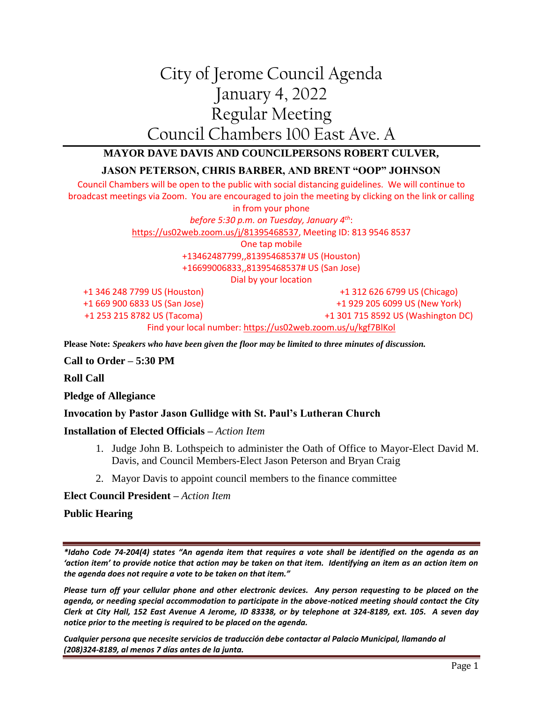# City of Jerome Council Agenda January 4, 2022 Regular Meeting Council Chambers 100 East Ave. A

## **MAYOR DAVE DAVIS AND COUNCILPERSONS ROBERT CULVER,**

### **JASON PETERSON, CHRIS BARBER, AND BRENT "OOP" JOHNSON**

Council Chambers will be open to the public with social distancing guidelines. We will continue to broadcast meetings via Zoom. You are encouraged to join the meeting by clicking on the link or calling in from your phone *before 5:30 p.m. on Tuesday, January 4th*: [https://us02web.zoom.us/j/81395468537,](https://us02web.zoom.us/j/81395468537) Meeting ID: 813 9546 8537 One tap mobile +13462487799,,81395468537# US (Houston) +16699006833,,81395468537# US (San Jose) Dial by your location +1 346 248 7799 US (Houston) +1 669 900 6833 US (San Jose) +1 312 626 6799 US (Chicago) +1 929 205 6099 US (New York)

+1 253 215 8782 US (Tacoma)

+1 301 715 8592 US (Washington DC)

Find your local number[: https://us02web.zoom.us/u/kgf7BlKol](https://us02web.zoom.us/u/kgf7BlKol)

**Please Note:** *Speakers who have been given the floor may be limited to three minutes of discussion.*

#### **Call to Order – 5:30 PM**

**Roll Call**

**Pledge of Allegiance**

#### **Invocation by Pastor Jason Gullidge with St. Paul's Lutheran Church**

#### **Installation of Elected Officials –** *Action Item*

- 1. Judge John B. Lothspeich to administer the Oath of Office to Mayor-Elect David M. Davis, and Council Members-Elect Jason Peterson and Bryan Craig
- 2. Mayor Davis to appoint council members to the finance committee

#### **Elect Council President –** *Action Item*

#### **Public Hearing**

*\*Idaho Code 74-204(4) states "An agenda item that requires a vote shall be identified on the agenda as an 'action item' to provide notice that action may be taken on that item. Identifying an item as an action item on the agenda does not require a vote to be taken on that item."*

*Please turn off your cellular phone and other electronic devices. Any person requesting to be placed on the agenda, or needing special accommodation to participate in the above-noticed meeting should contact the City Clerk at City Hall, 152 East Avenue A Jerome, ID 83338, or by telephone at 324-8189, ext. 105. A seven day notice prior to the meeting is required to be placed on the agenda.* 

*Cualquier persona que necesite servicios de traducción debe contactar al Palacio Municipal, llamando al (208)324-8189, al menos 7 días antes de la junta.*